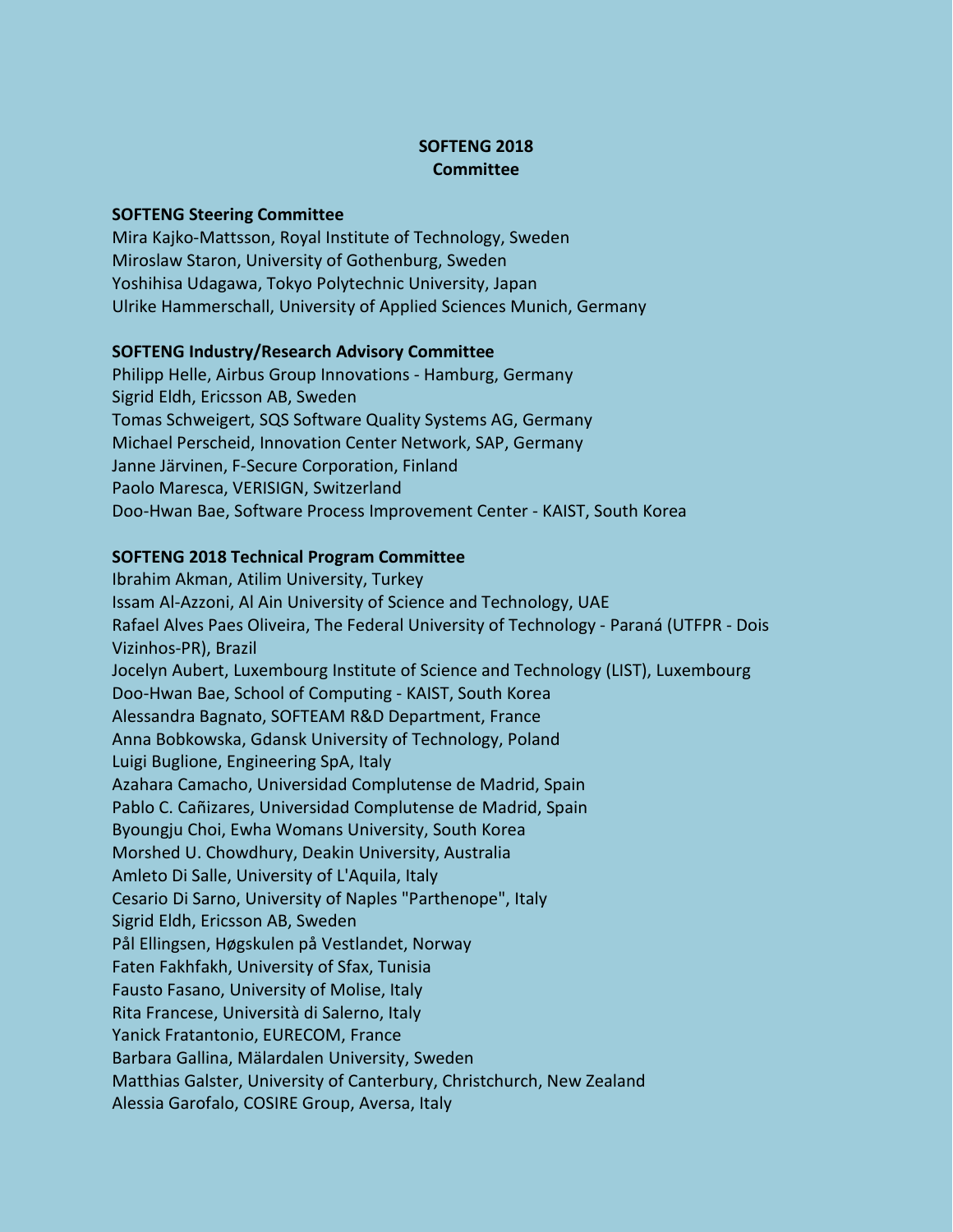## **SOFTENG 2018 Committee**

## **SOFTENG Steering Committee**

Mira Kajko-Mattsson, Royal Institute of Technology, Sweden Miroslaw Staron, University of Gothenburg, Sweden Yoshihisa Udagawa, Tokyo Polytechnic University, Japan Ulrike Hammerschall, University of Applied Sciences Munich, Germany

## **SOFTENG Industry/Research Advisory Committee**

Philipp Helle, Airbus Group Innovations - Hamburg, Germany Sigrid Eldh, Ericsson AB, Sweden Tomas Schweigert, SQS Software Quality Systems AG, Germany Michael Perscheid, Innovation Center Network, SAP, Germany Janne Järvinen, F-Secure Corporation, Finland Paolo Maresca, VERISIGN, Switzerland Doo-Hwan Bae, Software Process Improvement Center - KAIST, South Korea

## **SOFTENG 2018 Technical Program Committee**

Ibrahim Akman, Atilim University, Turkey Issam Al-Azzoni, Al Ain University of Science and Technology, UAE Rafael Alves Paes Oliveira, The Federal University of Technology - Paraná (UTFPR - Dois Vizinhos-PR), Brazil Jocelyn Aubert, Luxembourg Institute of Science and Technology (LIST), Luxembourg Doo-Hwan Bae, School of Computing - KAIST, South Korea Alessandra Bagnato, SOFTEAM R&D Department, France Anna Bobkowska, Gdansk University of Technology, Poland Luigi Buglione, Engineering SpA, Italy Azahara Camacho, Universidad Complutense de Madrid, Spain Pablo C. Cañizares, Universidad Complutense de Madrid, Spain Byoungju Choi, Ewha Womans University, South Korea Morshed U. Chowdhury, Deakin University, Australia Amleto Di Salle, University of L'Aquila, Italy Cesario Di Sarno, University of Naples "Parthenope", Italy Sigrid Eldh, Ericsson AB, Sweden Pål Ellingsen, Høgskulen på Vestlandet, Norway Faten Fakhfakh, University of Sfax, Tunisia Fausto Fasano, University of Molise, Italy Rita Francese, Università di Salerno, Italy Yanick Fratantonio, EURECOM, France Barbara Gallina, Mälardalen University, Sweden Matthias Galster, University of Canterbury, Christchurch, New Zealand Alessia Garofalo, COSIRE Group, Aversa, Italy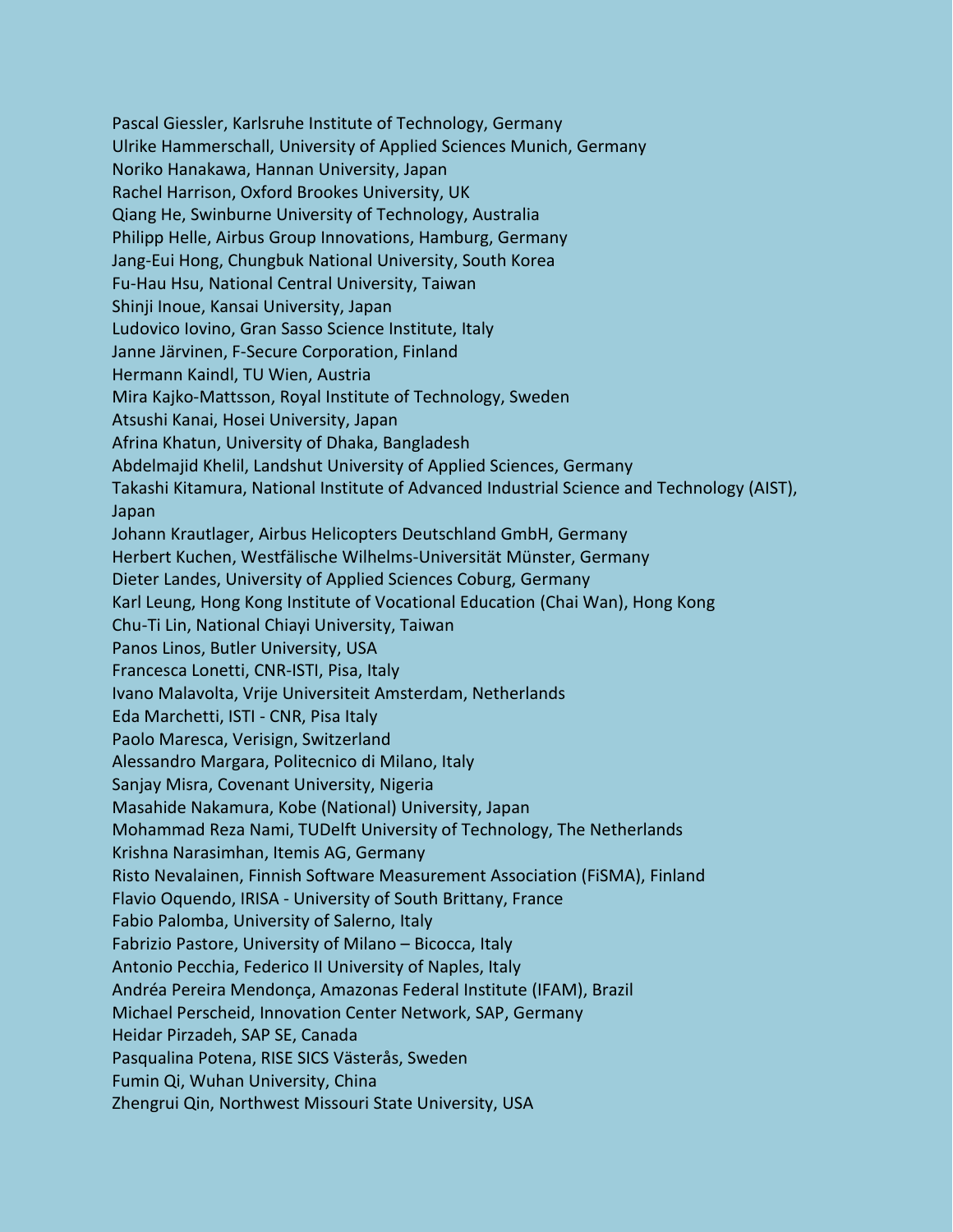Pascal Giessler, Karlsruhe Institute of Technology, Germany Ulrike Hammerschall, University of Applied Sciences Munich, Germany Noriko Hanakawa, Hannan University, Japan Rachel Harrison, Oxford Brookes University, UK Qiang He, Swinburne University of Technology, Australia Philipp Helle, Airbus Group Innovations, Hamburg, Germany Jang-Eui Hong, Chungbuk National University, South Korea Fu-Hau Hsu, National Central University, Taiwan Shinji Inoue, Kansai University, Japan Ludovico Iovino, Gran Sasso Science Institute, Italy Janne Järvinen, F-Secure Corporation, Finland Hermann Kaindl, TU Wien, Austria Mira Kajko-Mattsson, Royal Institute of Technology, Sweden Atsushi Kanai, Hosei University, Japan Afrina Khatun, University of Dhaka, Bangladesh Abdelmajid Khelil, Landshut University of Applied Sciences, Germany Takashi Kitamura, National Institute of Advanced Industrial Science and Technology (AIST), Japan Johann Krautlager, Airbus Helicopters Deutschland GmbH, Germany Herbert Kuchen, Westfälische Wilhelms-Universität Münster, Germany Dieter Landes, University of Applied Sciences Coburg, Germany Karl Leung, Hong Kong Institute of Vocational Education (Chai Wan), Hong Kong Chu-Ti Lin, National Chiayi University, Taiwan Panos Linos, Butler University, USA Francesca Lonetti, CNR-ISTI, Pisa, Italy Ivano Malavolta, Vrije Universiteit Amsterdam, Netherlands Eda Marchetti, ISTI - CNR, Pisa Italy Paolo Maresca, Verisign, Switzerland Alessandro Margara, Politecnico di Milano, Italy Sanjay Misra, Covenant University, Nigeria Masahide Nakamura, Kobe (National) University, Japan Mohammad Reza Nami, TUDelft University of Technology, The Netherlands Krishna Narasimhan, Itemis AG, Germany Risto Nevalainen, Finnish Software Measurement Association (FiSMA), Finland Flavio Oquendo, IRISA - University of South Brittany, France Fabio Palomba, University of Salerno, Italy Fabrizio Pastore, University of Milano – Bicocca, Italy Antonio Pecchia, Federico II University of Naples, Italy Andréa Pereira Mendonça, Amazonas Federal Institute (IFAM), Brazil Michael Perscheid, Innovation Center Network, SAP, Germany Heidar Pirzadeh, SAP SE, Canada Pasqualina Potena, RISE SICS Västerås, Sweden Fumin Qi, Wuhan University, China Zhengrui Qin, Northwest Missouri State University, USA